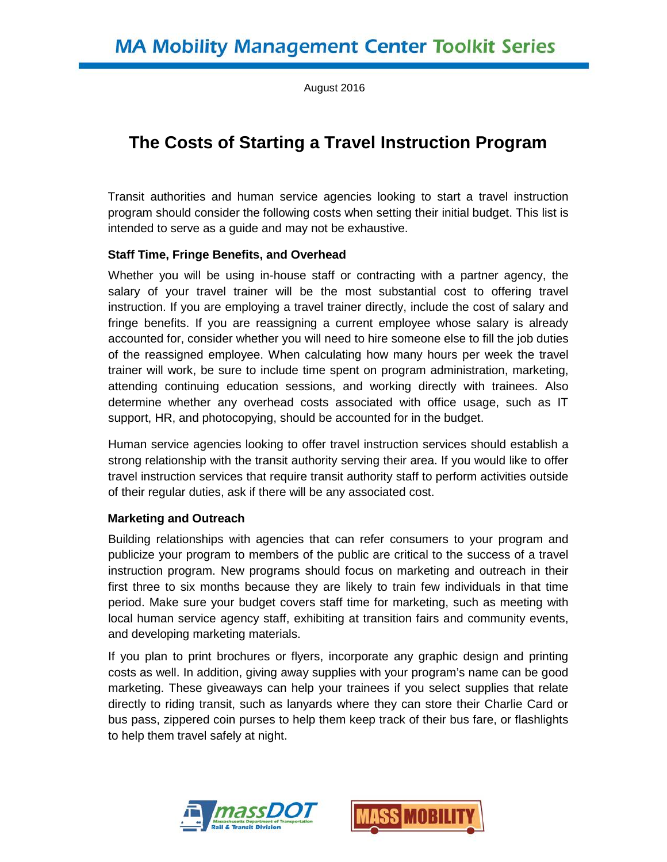August 2016

# **The Costs of Starting a Travel Instruction Program**

Transit authorities and human service agencies looking to start a travel instruction program should consider the following costs when setting their initial budget. This list is intended to serve as a guide and may not be exhaustive.

#### **Staff Time, Fringe Benefits, and Overhead**

Whether you will be using in-house staff or contracting with a partner agency, the salary of your travel trainer will be the most substantial cost to offering travel instruction. If you are employing a travel trainer directly, include the cost of salary and fringe benefits. If you are reassigning a current employee whose salary is already accounted for, consider whether you will need to hire someone else to fill the job duties of the reassigned employee. When calculating how many hours per week the travel trainer will work, be sure to include time spent on program administration, marketing, attending continuing education sessions, and working directly with trainees. Also determine whether any overhead costs associated with office usage, such as IT support, HR, and photocopying, should be accounted for in the budget.

Human service agencies looking to offer travel instruction services should establish a strong relationship with the transit authority serving their area. If you would like to offer travel instruction services that require transit authority staff to perform activities outside of their regular duties, ask if there will be any associated cost.

#### **Marketing and Outreach**

Building relationships with agencies that can refer consumers to your program and publicize your program to members of the public are critical to the success of a travel instruction program. New programs should focus on marketing and outreach in their first three to six months because they are likely to train few individuals in that time period. Make sure your budget covers staff time for marketing, such as meeting with local human service agency staff, exhibiting at transition fairs and community events, and developing marketing materials.

If you plan to print brochures or flyers, incorporate any graphic design and printing costs as well. In addition, giving away supplies with your program's name can be good marketing. These giveaways can help your trainees if you select supplies that relate directly to riding transit, such as lanyards where they can store their Charlie Card or bus pass, zippered coin purses to help them keep track of their bus fare, or flashlights to help them travel safely at night.



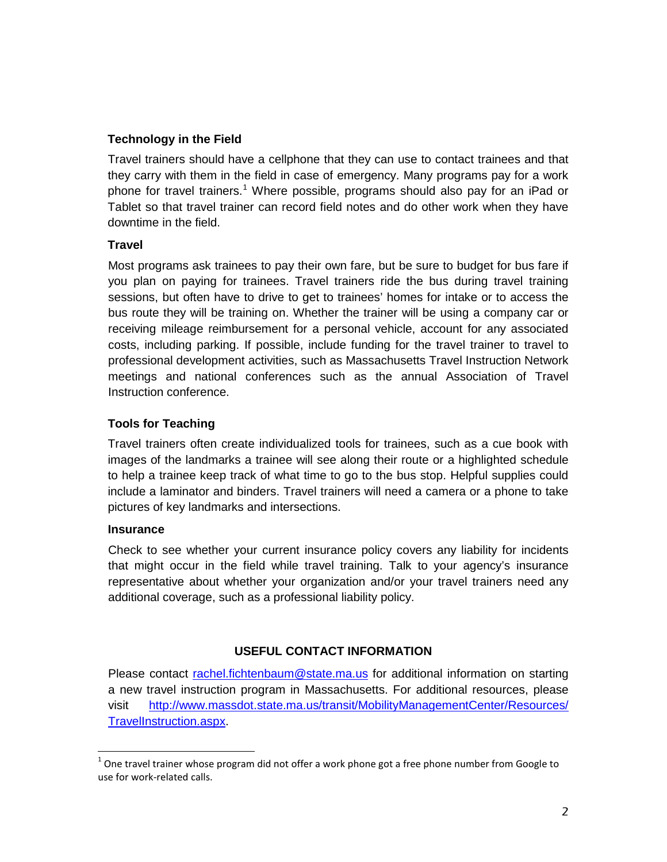## **Technology in the Field**

Travel trainers should have a cellphone that they can use to contact trainees and that they carry with them in the field in case of emergency. Many programs pay for a work phone for travel trainers.<sup>[1](#page-1-0)</sup> Where possible, programs should also pay for an iPad or Tablet so that travel trainer can record field notes and do other work when they have downtime in the field.

## **Travel**

Most programs ask trainees to pay their own fare, but be sure to budget for bus fare if you plan on paying for trainees. Travel trainers ride the bus during travel training sessions, but often have to drive to get to trainees' homes for intake or to access the bus route they will be training on. Whether the trainer will be using a company car or receiving mileage reimbursement for a personal vehicle, account for any associated costs, including parking. If possible, include funding for the travel trainer to travel to professional development activities, such as Massachusetts Travel Instruction Network meetings and national conferences such as the annual Association of Travel Instruction conference.

## **Tools for Teaching**

Travel trainers often create individualized tools for trainees, such as a cue book with images of the landmarks a trainee will see along their route or a highlighted schedule to help a trainee keep track of what time to go to the bus stop. Helpful supplies could include a laminator and binders. Travel trainers will need a camera or a phone to take pictures of key landmarks and intersections.

#### **Insurance**

Check to see whether your current insurance policy covers any liability for incidents that might occur in the field while travel training. Talk to your agency's insurance representative about whether your organization and/or your travel trainers need any additional coverage, such as a professional liability policy.

## **USEFUL CONTACT INFORMATION**

Please contact [rachel.fichtenbaum@state.ma.us](mailto:rachel.fichtenbaum@state.ma.us) for additional information on starting a new travel instruction program in Massachusetts. For additional resources, please visit [http://www.massdot.state.ma.us/transit/MobilityManagementCenter/Resources/](http://www.massdot.state.ma.us/transit/MobilityManagementCenter/Resources/TravelInstruction.aspx) [TravelInstruction.aspx.](http://www.massdot.state.ma.us/transit/MobilityManagementCenter/Resources/TravelInstruction.aspx)

<span id="page-1-0"></span> $1$  One travel trainer whose program did not offer a work phone got a free phone number from Google to use for work-related calls.